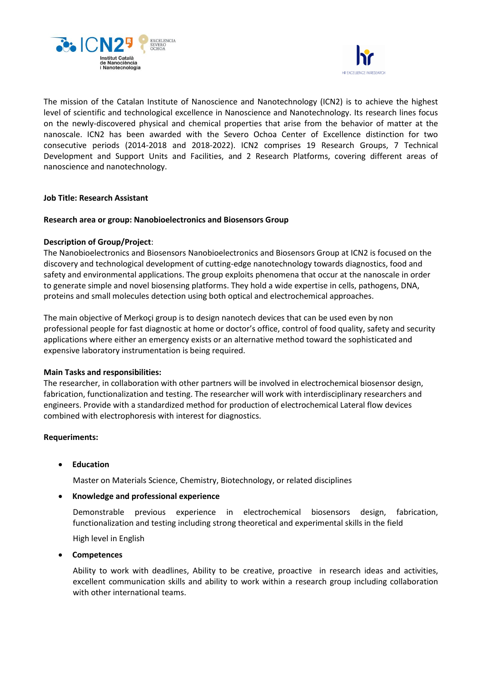



The mission of the Catalan Institute of Nanoscience and Nanotechnology (ICN2) is to achieve the highest level of scientific and technological excellence in Nanoscience and Nanotechnology. Its research lines focus on the newly-discovered physical and chemical properties that arise from the behavior of matter at the nanoscale. ICN2 has been awarded with the Severo Ochoa Center of Excellence distinction for two consecutive periods (2014-2018 and 2018-2022). ICN2 comprises 19 Research Groups, 7 Technical Development and Support Units and Facilities, and 2 Research Platforms, covering different areas of nanoscience and nanotechnology.

## **Job Title: Research Assistant**

### **Research area or group: Nanobioelectronics and Biosensors Group**

## **Description of Group/Project**:

The Nanobioelectronics and Biosensors Nanobioelectronics and Biosensors Group at ICN2 is focused on the discovery and technological development of cutting-edge nanotechnology towards diagnostics, food and safety and environmental applications. The group exploits phenomena that occur at the nanoscale in order to generate simple and novel biosensing platforms. They hold a wide expertise in cells, pathogens, DNA, proteins and small molecules detection using both optical and electrochemical approaches.

The main objective of Merkoçi group is to design nanotech devices that can be used even by non professional people for fast diagnostic at home or doctor's office, control of food quality, safety and security applications where either an emergency exists or an alternative method toward the sophisticated and expensive laboratory instrumentation is being required.

#### **Main Tasks and responsibilities:**

The researcher, in collaboration with other partners will be involved in electrochemical biosensor design, fabrication, functionalization and testing. The researcher will work with interdisciplinary researchers and engineers. Provide with a standardized method for production of electrochemical Lateral flow devices combined with electrophoresis with interest for diagnostics.

## **Requeriments:**

• **Education**

Master on Materials Science, Chemistry, Biotechnology, or related disciplines

#### • **Knowledge and professional experience**

Demonstrable previous experience in electrochemical biosensors design, fabrication, functionalization and testing including strong theoretical and experimental skills in the field

High level in English

#### • **Competences**

Ability to work with deadlines, Ability to be creative, proactive in research ideas and activities, excellent communication skills and ability to work within a research group including collaboration with other international teams.